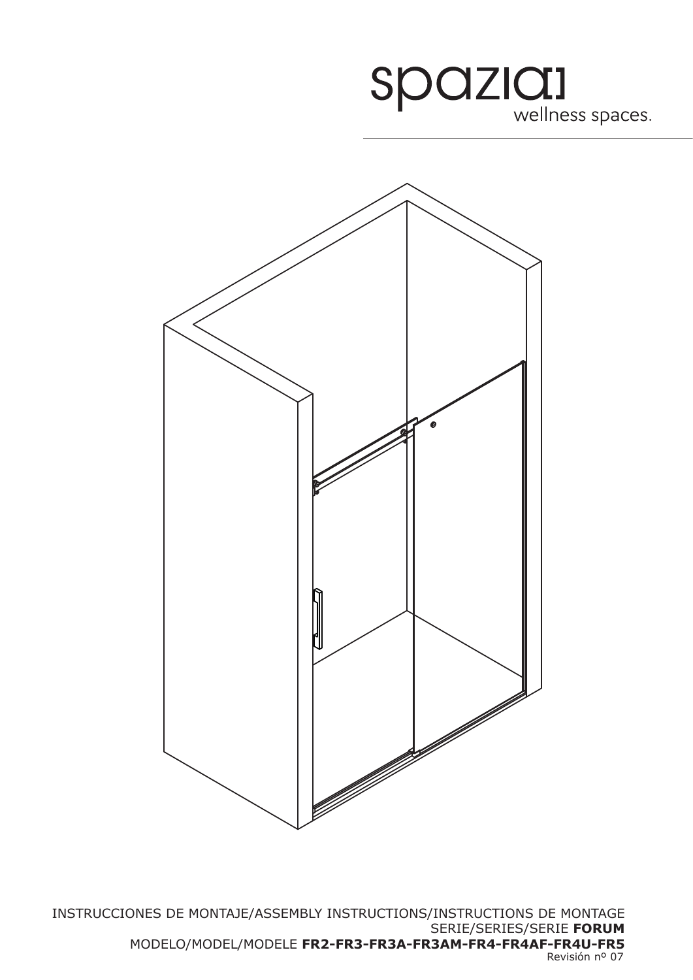



Revisión nº 07 INSTRUCCIONES DE MONTAJE/ASSEMBLY INSTRUCTIONS/INSTRUCTIONS DE MONTAGE SERIE/SERIES/SERIE **FORUM** MODELO/MODEL/MODELE **FR2-FR3-FR3A-FR3AM-FR4-FR4AF-FR4U-FR5**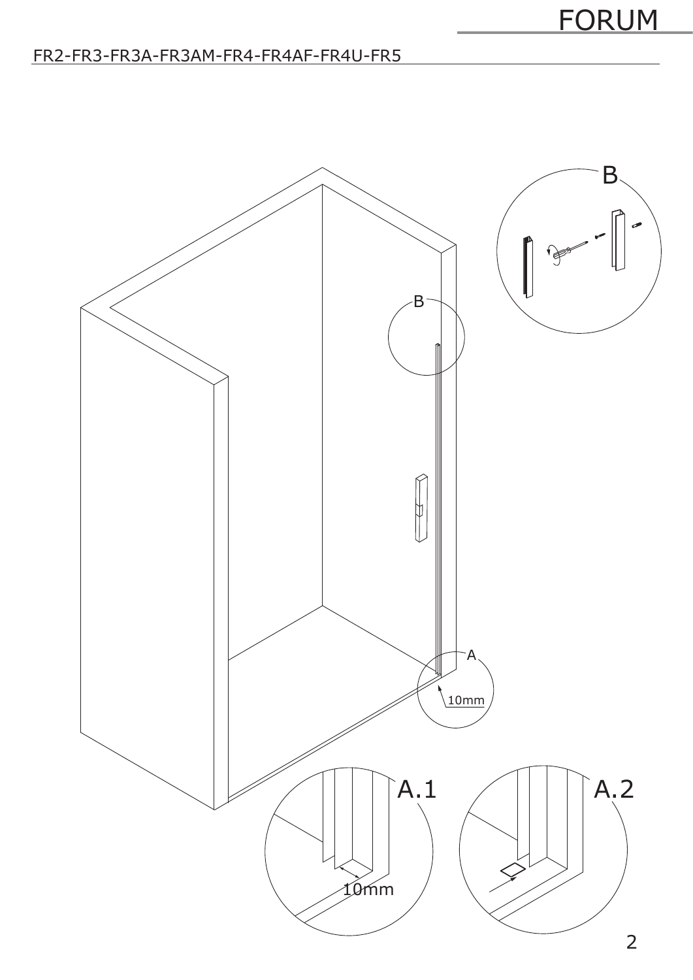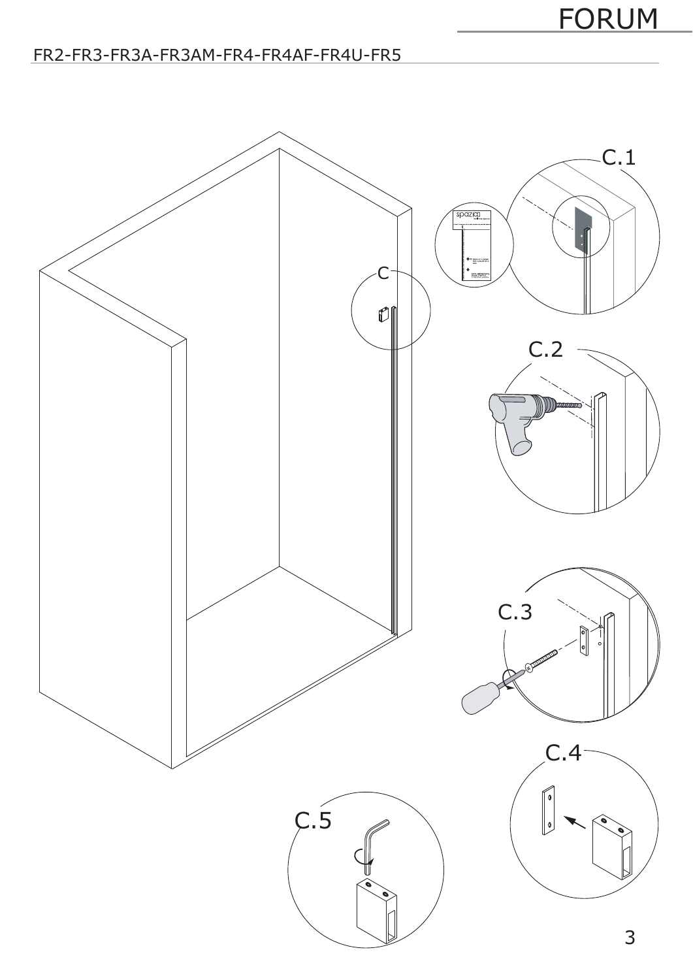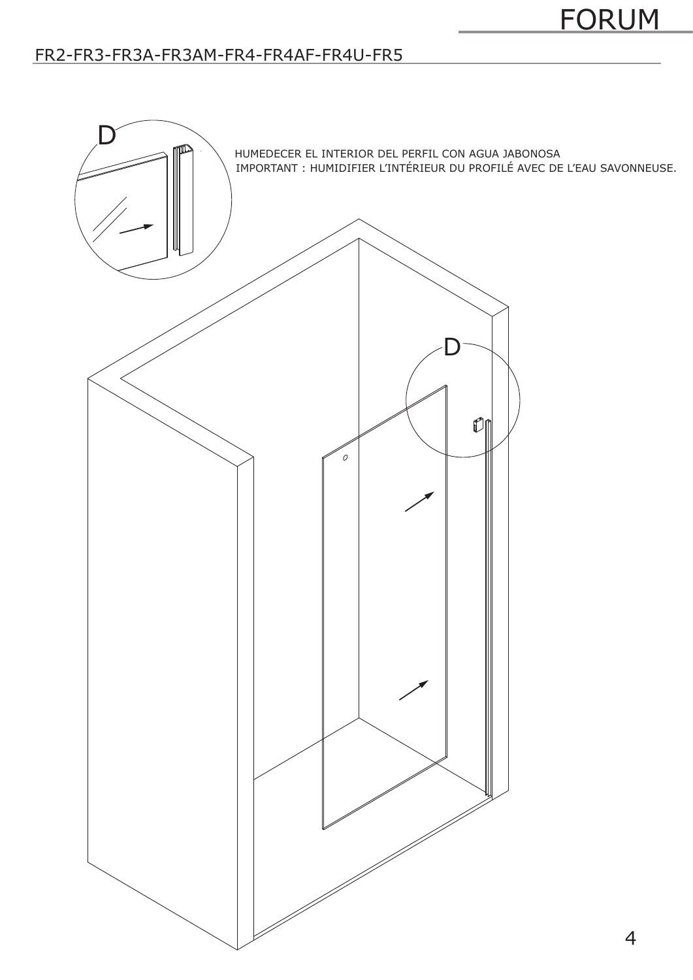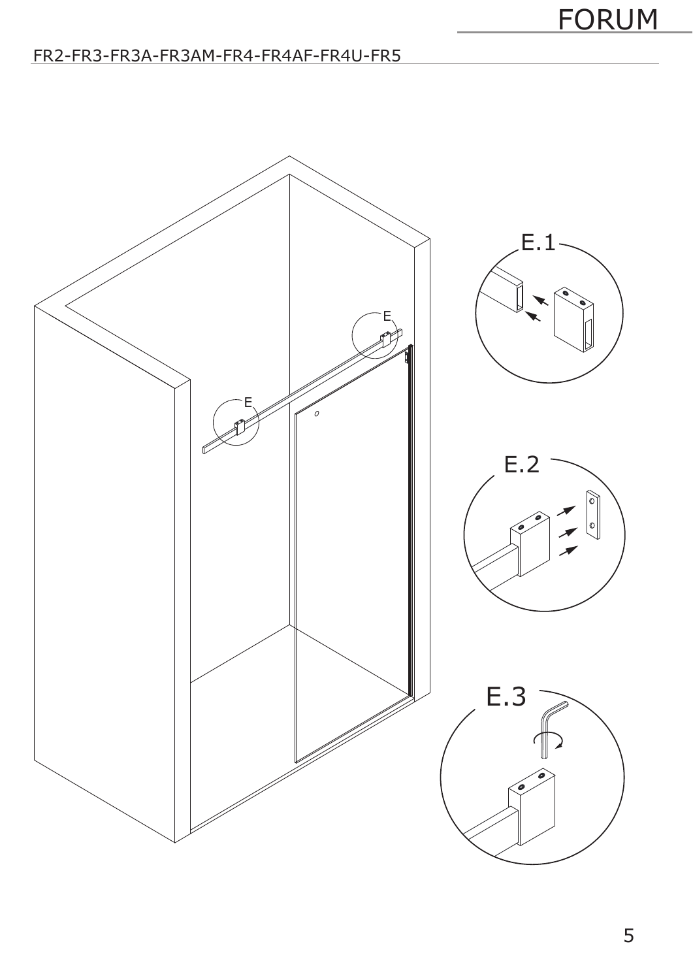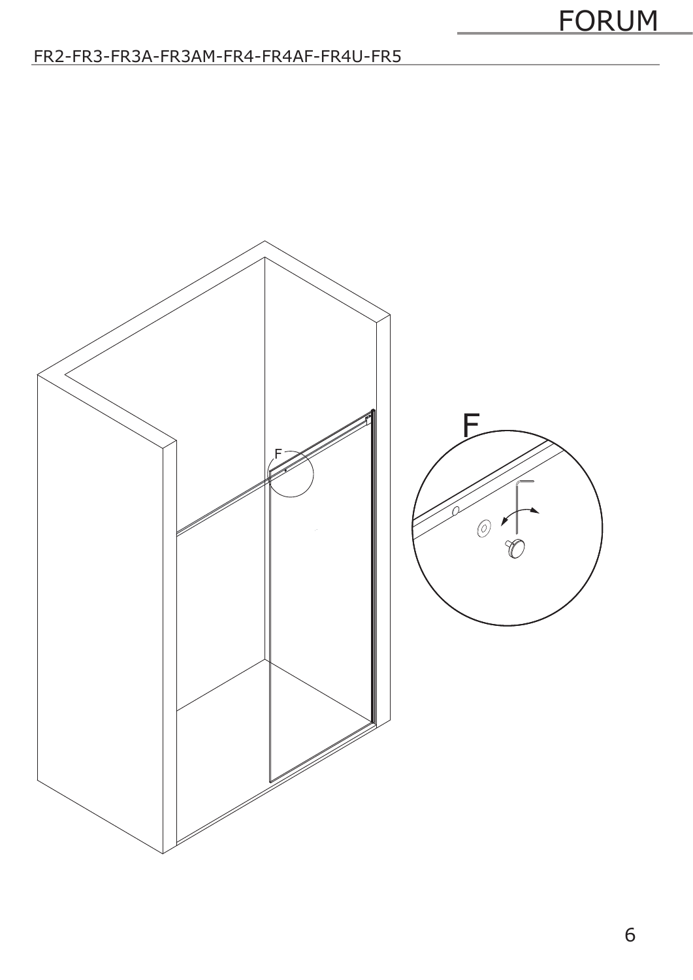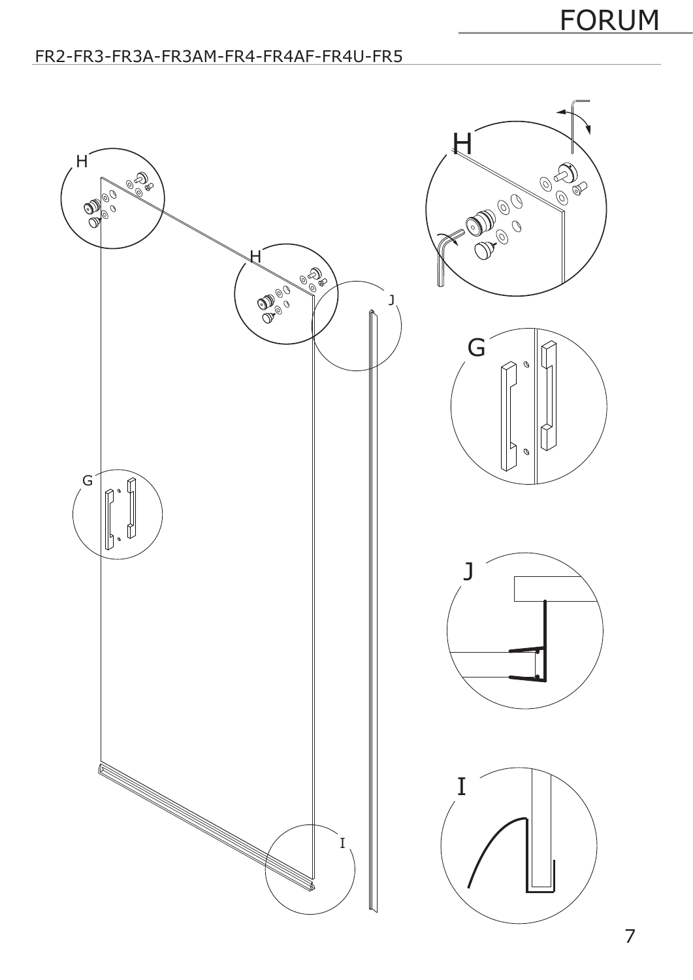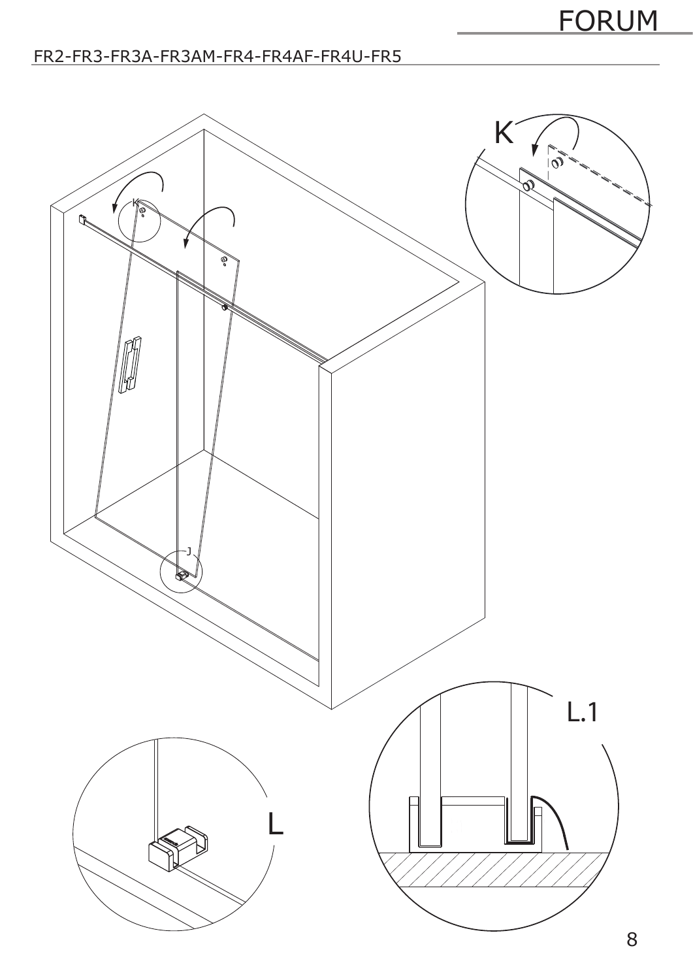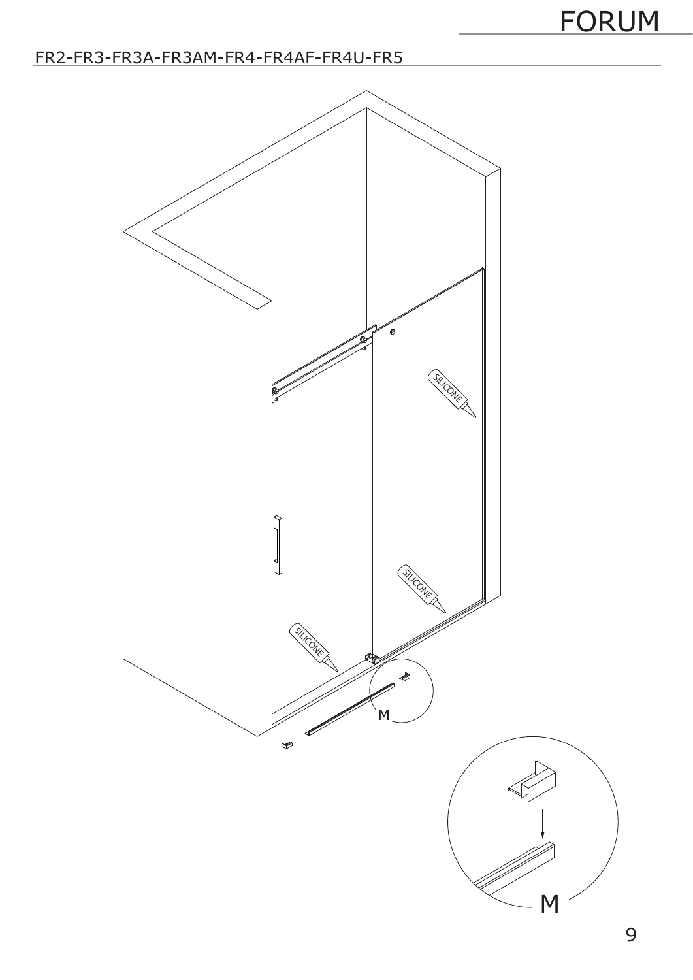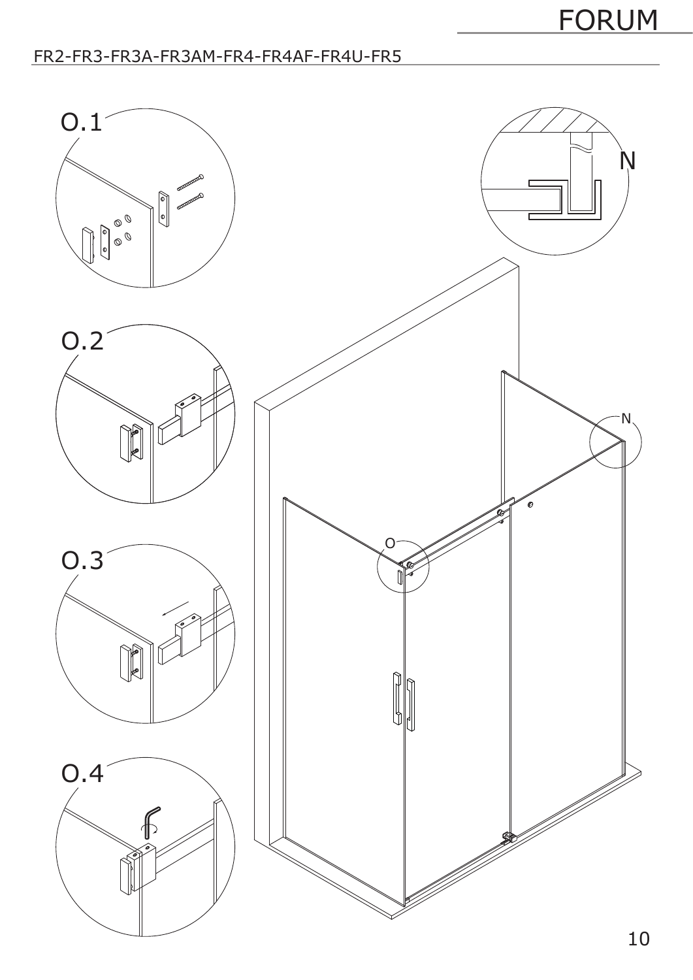